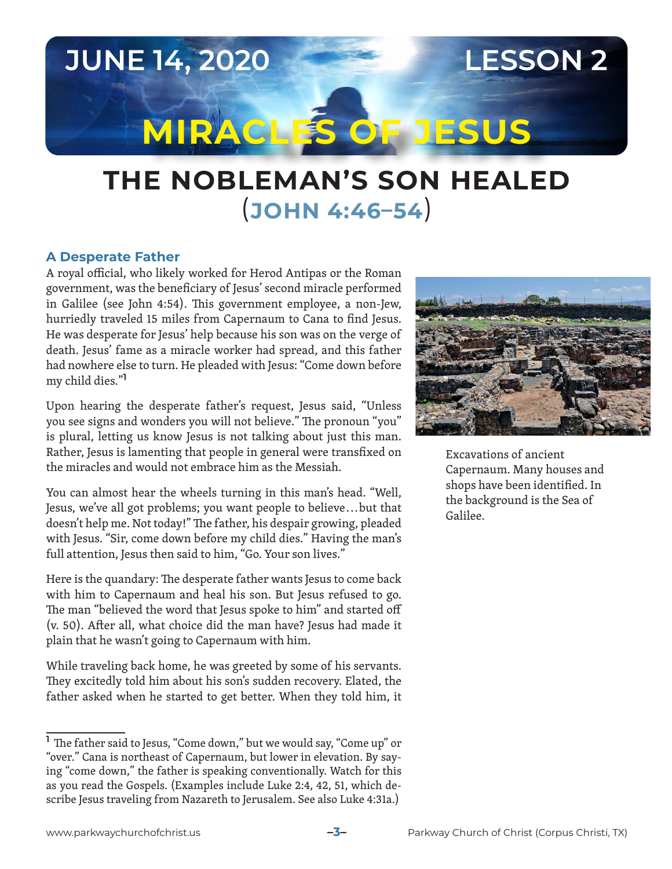**JUNE 14, 2020 LESSON 2 MIRACLES OF JESUS**

# **THE NOBLEMAN'S SON HEALED** (**JOHN 4:46–54**)

### **A Desperate Father**

A royal official, who likely worked for Herod Antipas or the Roman government, was the beneficiary of Jesus' second miracle performed in Galilee (see John 4:54). This government employee, a non-Jew, hurriedly traveled 15 miles from Capernaum to Cana to find Jesus. He was desperate for Jesus' help because his son was on the verge of death. Jesus' fame as a miracle worker had spread, and this father had nowhere else to turn. He pleaded with Jesus: "Come down before my child dies."**<sup>1</sup>**

Upon hearing the desperate father's request, Jesus said, "Unless you see signs and wonders you will not believe." The pronoun "you" is plural, letting us know Jesus is not talking about just this man. Rather, Jesus is lamenting that people in general were transfixed on the miracles and would not embrace him as the Messiah.

You can almost hear the wheels turning in this man's head. "Well, Jesus, we've all got problems; you want people to believe . . . but that doesn't help me. Not today!" The father, his despair growing, pleaded with Jesus. "Sir, come down before my child dies." Having the man's full attention, Jesus then said to him, "Go. Your son lives."

Here is the quandary: The desperate father wants Jesus to come back with him to Capernaum and heal his son. But Jesus refused to go. The man "believed the word that Jesus spoke to him" and started off (v. 50). After all, what choice did the man have? Jesus had made it plain that he wasn't going to Capernaum with him.

While traveling back home, he was greeted by some of his servants. They excitedly told him about his son's sudden recovery. Elated, the father asked when he started to get better. When they told him, it



Excavations of ancient Capernaum. Many houses and shops have been identified. In the background is the Sea of Galilee.

**<sup>1</sup>** The father said to Jesus, "Come down," but we would say, "Come up" or "over." Cana is northeast of Capernaum, but lower in elevation. By saying "come down," the father is speaking conventionally. Watch for this as you read the Gospels. (Examples include Luke 2:4, 42, 51, which describe Jesus traveling from Nazareth to Jerusalem. See also Luke 4:31a.)